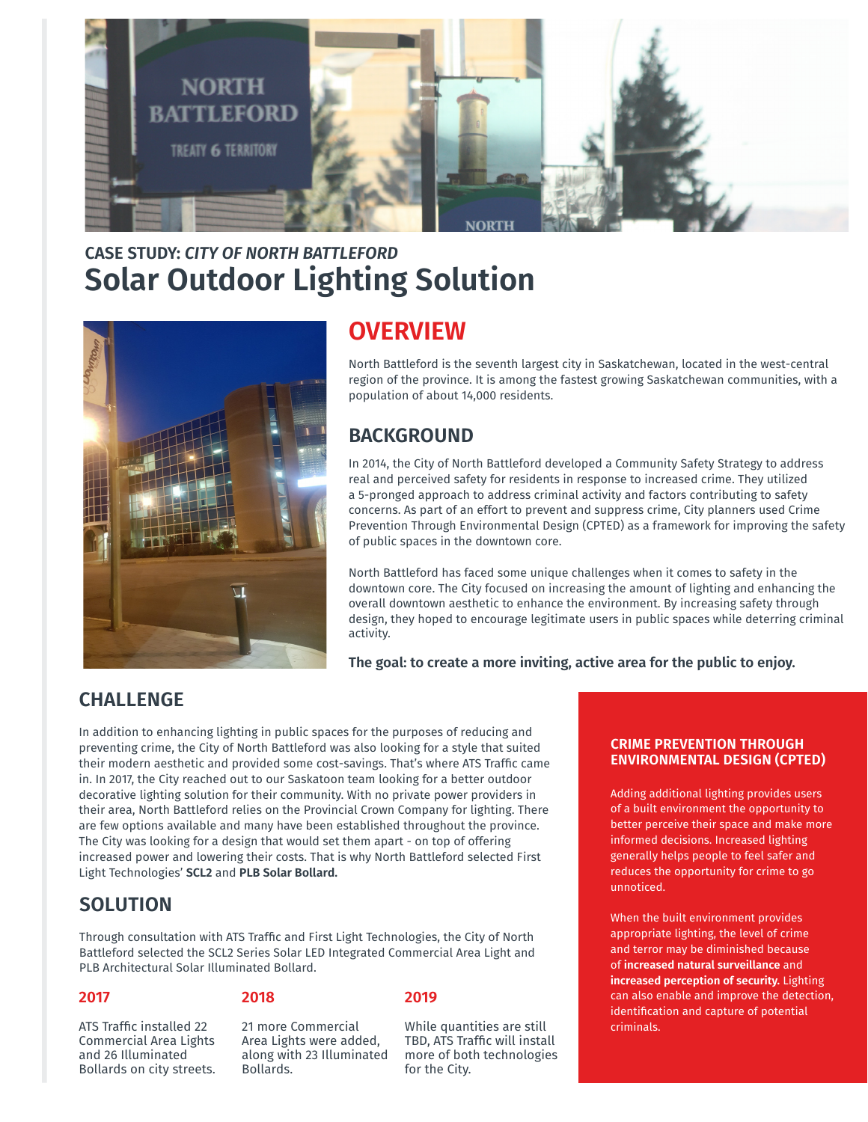

# **Solar Outdoor Lighting Solution CASE STUDY:** *CITY OF NORTH BATTLEFORD*



## **OVERVIEW**

North Battleford is the seventh largest city in Saskatchewan, located in the west-central region of the province. It is among the fastest growing Saskatchewan communities, with a population of about 14,000 residents.

## **BACKGROUND**

In 2014, the City of North Battleford developed a Community Safety Strategy to address real and perceived safety for residents in response to increased crime. They utilized a 5-pronged approach to address criminal activity and factors contributing to safety concerns. As part of an effort to prevent and suppress crime, City planners used Crime Prevention Through Environmental Design (CPTED) as a framework for improving the safety of public spaces in the downtown core.

North Battleford has faced some unique challenges when it comes to safety in the downtown core. The City focused on increasing the amount of lighting and enhancing the overall downtown aesthetic to enhance the environment. By increasing safety through design, they hoped to encourage legitimate users in public spaces while deterring criminal activity.

**The goal: to create a more inviting, active area for the public to enjoy.**

### **CHALLENGE**

In addition to enhancing lighting in public spaces for the purposes of reducing and preventing crime, the City of North Battleford was also looking for a style that suited their modern aesthetic and provided some cost-savings. That's where ATS Traffic came in. In 2017, the City reached out to our Saskatoon team looking for a better outdoor decorative lighting solution for their community. With no private power providers in their area, North Battleford relies on the Provincial Crown Company for lighting. There are few options available and many have been established throughout the province. The City was looking for a design that would set them apart - on top of offering increased power and lowering their costs. That is why North Battleford selected First Light Technologies' **SCL2** and **PLB Solar Bollard.**

### **SOLUTION**

ATS Traffic installed 22 Commercial Area Lights and 26 Illuminated Bollards on city streets.

Through consultation with ATS Traffic and First Light Technologies, the City of North Battleford selected the SCL2 Series Solar LED Integrated Commercial Area Light and PLB Architectural Solar Illuminated Bollard.

### **2017**

#### **2018**

21 more Commercial Area Lights were added, along with 23 Illuminated Bollards.

**2019**

#### While quantities are still TBD, ATS Traffic will install more of both technologies for the City.

#### **CRIME PREVENTION THROUGH ENVIRONMENTAL DESIGN (CPTED)**

Adding additional lighting provides users of a built environment the opportunity to better perceive their space and make more informed decisions. Increased lighting generally helps people to feel safer and reduces the opportunity for crime to go unnoticed.

When the built environment provides appropriate lighting, the level of crime and terror may be diminished because of **increased natural surveillance** and **increased perception of security.** Lighting can also enable and improve the detection, identification and capture of potential criminals.